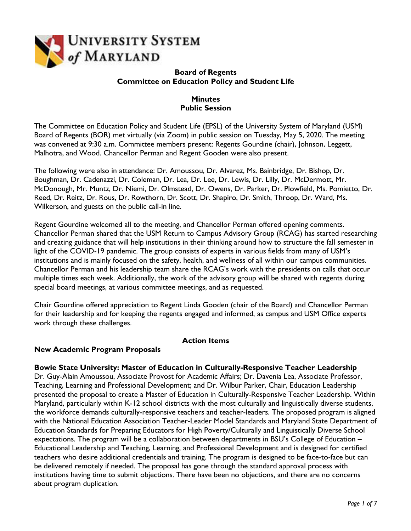

### **Board of Regents Committee on Education Policy and Student Life**

### **Minutes Public Session**

The Committee on Education Policy and Student Life (EPSL) of the University System of Maryland (USM) Board of Regents (BOR) met virtually (via Zoom) in public session on Tuesday, May 5, 2020. The meeting was convened at 9:30 a.m. Committee members present: Regents Gourdine (chair), Johnson, Leggett, Malhotra, and Wood. Chancellor Perman and Regent Gooden were also present.

The following were also in attendance: Dr. Amoussou, Dr. Alvarez, Ms. Bainbridge, Dr. Bishop, Dr. Boughman, Dr. Cadenazzi, Dr. Coleman, Dr. Lea, Dr. Lee, Dr. Lewis, Dr. Lilly, Dr. McDermott, Mr. McDonough, Mr. Muntz, Dr. Niemi, Dr. Olmstead, Dr. Owens, Dr. Parker, Dr. Plowfield, Ms. Pomietto, Dr. Reed, Dr. Reitz, Dr. Rous, Dr. Rowthorn, Dr. Scott, Dr. Shapiro, Dr. Smith, Throop, Dr. Ward, Ms. Wilkerson, and guests on the public call-in line.

Regent Gourdine welcomed all to the meeting, and Chancellor Perman offered opening comments. Chancellor Perman shared that the USM Return to Campus Advisory Group (RCAG) has started researching and creating guidance that will help institutions in their thinking around how to structure the fall semester in light of the COVID-19 pandemic. The group consists of experts in various fields from many of USM's institutions and is mainly focused on the safety, health, and wellness of all within our campus communities. Chancellor Perman and his leadership team share the RCAG's work with the presidents on calls that occur multiple times each week. Additionally, the work of the advisory group will be shared with regents during special board meetings, at various committee meetings, and as requested.

Chair Gourdine offered appreciation to Regent Linda Gooden (chair of the Board) and Chancellor Perman for their leadership and for keeping the regents engaged and informed, as campus and USM Office experts work through these challenges.

# **Action Items**

### **New Academic Program Proposals**

#### **Bowie State University: Master of Education in Culturally-Responsive Teacher Leadership**

Dr. Guy-Alain Amoussou, Associate Provost for Academic Affairs; Dr. Davenia Lea, Associate Professor, Teaching, Learning and Professional Development; and Dr. Wilbur Parker, Chair, Education Leadership presented the proposal to create a Master of Education in Culturally-Responsive Teacher Leadership. Within Maryland, particularly within K-12 school districts with the most culturally and linguistically diverse students, the workforce demands culturally-responsive teachers and teacher-leaders. The proposed program is aligned with the National Education Association Teacher-Leader Model Standards and Maryland State Department of Education Standards for Preparing Educators for High Poverty/Culturally and Linguistically Diverse School expectations. The program will be a collaboration between departments in BSU's College of Education – Educational Leadership and Teaching, Learning, and Professional Development and is designed for certified teachers who desire additional credentials and training. The program is designed to be face-to-face but can be delivered remotely if needed. The proposal has gone through the standard approval process with institutions having time to submit objections. There have been no objections, and there are no concerns about program duplication.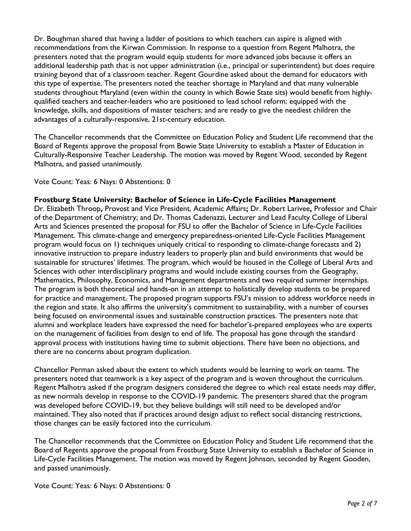Dr. Boughman shared that having a ladder of positions to which teachers can aspire is aligned with recommendations from the Kirwan Commission. In response to a question from Regent Malhotra, the presenters noted that the program would equip students for more advanced jobs because it offers an additional leadership path that is not upper administration (i.e., principal or superintendent) but does require training beyond that of a classroom teacher. Regent Gourdine asked about the demand for educators with this type of expertise. The presenters noted the teacher shortage in Maryland and that many vulnerable students throughout Maryland (even within the county in which Bowie State sits) would benefit from highlyqualified teachers and teacher-leaders who are positioned to lead school reform; equipped with the knowledge, skills, and dispositions of master teachers; and are ready to give the neediest children the advantages of a culturally-responsive, 21st-century education.

The Chancellor recommends that the Committee on Education Policy and Student Life recommend that the Board of Regents approve the proposal from Bowie State University to establish a Master of Education in Culturally-Responsive Teacher Leadership. The motion was moved by Regent Wood, seconded by Regent Malhotra, and passed unanimously.

### Vote Count: Yeas: 6 Nays: 0 Abstentions: 0

#### **Frostburg State University: Bachelor of Science in Life-Cycle Facilities Management**

Dr. Elizabeth Throop**,** Provost and Vice President, Academic Affairs**;** Dr. Robert Larivee**,** Professor and Chair of the Department of Chemistry; and Dr. Thomas Cadenazzi, Lecturer and Lead Faculty College of Liberal Arts and Sciences presented the proposal for FSU to offer the Bachelor of Science in Life-Cycle Facilities Management. This climate-change and emergency preparedness-oriented Life-Cycle Facilities Management program would focus on 1) techniques uniquely critical to responding to climate-change forecasts and 2) innovative instruction to prepare industry leaders to properly plan and build environments that would be sustainable for structures' lifetimes. The program, which would be housed in the College of Liberal Arts and Sciences with other interdisciplinary programs and would include existing courses from the Geography, Mathematics, Philosophy, Economics, and Management departments and two required summer internships. The program is both theoretical and hands-on in an attempt to holistically develop students to be prepared for practice and management. The proposed program supports FSU's mission to address workforce needs in the region and state. It also affirms the university's commitment to sustainability, with a number of courses being focused on environmental issues and sustainable construction practices. The presenters note that alumni and workplace leaders have expressed the need for bachelor's-prepared employees who are experts on the management of facilities from design to end of life. The proposal has gone through the standard approval process with institutions having time to submit objections. There have been no objections, and there are no concerns about program duplication.

Chancellor Perman asked about the extent to which students would be learning to work on teams. The presenters noted that teamwork is a key aspect of the program and is woven throughout the curriculum. Regent Malhotra asked if the program designers considered the degree to which real estate needs may differ, as new normals develop in response to the COVID-19 pandemic. The presenters shared that the program was developed before COVID-19, but they believe buildings will still need to be developed and/or maintained. They also noted that if practices around design adjust to reflect social distancing restrictions, those changes can be easily factored into the curriculum.

The Chancellor recommends that the Committee on Education Policy and Student Life recommend that the Board of Regents approve the proposal from Frostburg State University to establish a Bachelor of Science in Life-Cycle Facilities Management. The motion was moved by Regent Johnson, seconded by Regent Gooden, and passed unanimously.

Vote Count: Yeas: 6 Nays: 0 Abstentions: 0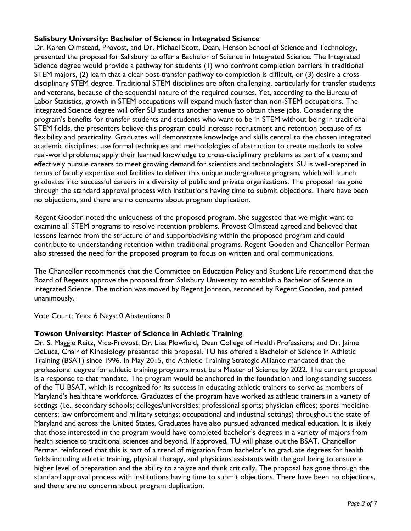## **Salisbury University: Bachelor of Science in Integrated Science**

Dr. Karen Olmstead, Provost, and Dr. Michael Scott, Dean, Henson School of Science and Technology, presented the proposal for Salisbury to offer a Bachelor of Science in Integrated Science. The Integrated Science degree would provide a pathway for students (1) who confront completion barriers in traditional STEM majors, (2) learn that a clear post-transfer pathway to completion is difficult, or (3) desire a crossdisciplinary STEM degree. Traditional STEM disciplines are often challenging, particularly for transfer students and veterans, because of the sequential nature of the required courses. Yet, according to the Bureau of Labor Statistics, growth in STEM occupations will expand much faster than non-STEM occupations. The Integrated Science degree will offer SU students another avenue to obtain these jobs. Considering the program's benefits for transfer students and students who want to be in STEM without being in traditional STEM fields, the presenters believe this program could increase recruitment and retention because of its flexibility and practicality. Graduates will demonstrate knowledge and skills central to the chosen integrated academic disciplines; use formal techniques and methodologies of abstraction to create methods to solve real-world problems; apply their learned knowledge to cross-disciplinary problems as part of a team; and effectively pursue careers to meet growing demand for scientists and technologists. SU is well-prepared in terms of faculty expertise and facilities to deliver this unique undergraduate program, which will launch graduates into successful careers in a diversity of public and private organizations. The proposal has gone through the standard approval process with institutions having time to submit objections. There have been no objections, and there are no concerns about program duplication.

Regent Gooden noted the uniqueness of the proposed program. She suggested that we might want to examine all STEM programs to resolve retention problems. Provost Olmstead agreed and believed that lessons learned from the structure of and support/advising within the proposed program and could contribute to understanding retention within traditional programs. Regent Gooden and Chancellor Perman also stressed the need for the proposed program to focus on written and oral communications.

The Chancellor recommends that the Committee on Education Policy and Student Life recommend that the Board of Regents approve the proposal from Salisbury University to establish a Bachelor of Science in Integrated Science. The motion was moved by Regent Johnson, seconded by Regent Gooden, and passed unanimously.

Vote Count: Yeas: 6 Nays: 0 Abstentions: 0

## **Towson University: Master of Science in Athletic Training**

Dr. S. Maggie Reitz**,** Vice-Provost; Dr. Lisa Plowfield**,** Dean College of Health Professions; and Dr. Jaime DeLuca, Chair of Kinesiology presented this proposal. TU has offered a Bachelor of Science in Athletic Training (BSAT) since 1996. In May 2015, the Athletic Training Strategic Alliance mandated that the professional degree for athletic training programs must be a Master of Science by 2022. The current proposal is a response to that mandate. The program would be anchored in the foundation and long-standing success of the TU BSAT, which is recognized for its success in educating athletic trainers to serve as members of Maryland's healthcare workforce. Graduates of the program have worked as athletic trainers in a variety of settings (i.e., secondary schools; colleges/universities; professional sports; physician offices; sports medicine centers; law enforcement and military settings; occupational and industrial settings) throughout the state of Maryland and across the United States. Graduates have also pursued advanced medical education. It is likely that those interested in the program would have completed bachelor's degrees in a variety of majors from health science to traditional sciences and beyond. If approved, TU will phase out the BSAT. Chancellor Perman reinforced that this is part of a trend of migration from bachelor's to graduate degrees for health fields including athletic training, physical therapy, and physicians assistants with the goal being to ensure a higher level of preparation and the ability to analyze and think critically. The proposal has gone through the standard approval process with institutions having time to submit objections. There have been no objections, and there are no concerns about program duplication.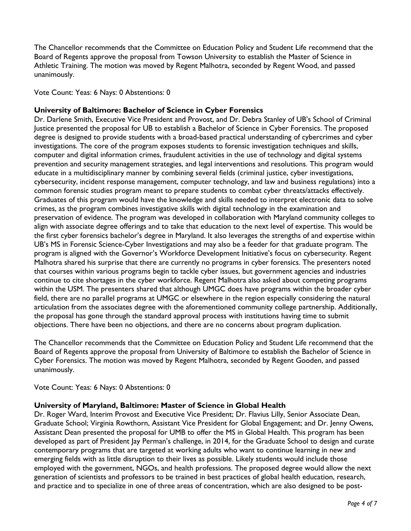The Chancellor recommends that the Committee on Education Policy and Student Life recommend that the Board of Regents approve the proposal from Towson University to establish the Master of Science in Athletic Training. The motion was moved by Regent Malhotra, seconded by Regent Wood, and passed unanimously.

Vote Count: Yeas: 6 Nays: 0 Abstentions: 0

### **University of Baltimore: Bachelor of Science in Cyber Forensics**

Dr. Darlene Smith, Executive Vice President and Provost, and Dr. Debra Stanley of UB's School of Criminal Justice presented the proposal for UB to establish a Bachelor of Science in Cyber Forensics. The proposed degree is designed to provide students with a broad-based practical understanding of cybercrimes and cyber investigations. The core of the program exposes students to forensic investigation techniques and skills, computer and digital information crimes, fraudulent activities in the use of technology and digital systems prevention and security management strategies, and legal interventions and resolutions. This program would educate in a multidisciplinary manner by combining several fields (criminal justice, cyber investigations, cybersecurity, incident response management, computer technology, and law and business regulations) into a common forensic studies program meant to prepare students to combat cyber threats/attacks effectively. Graduates of this program would have the knowledge and skills needed to interpret electronic data to solve crimes, as the program combines investigative skills with digital technology in the examination and preservation of evidence. The program was developed in collaboration with Maryland community colleges to align with associate degree offerings and to take that education to the next level of expertise. This would be the first cyber forensics bachelor's degree in Maryland. It also leverages the strengths of and expertise within UB's MS in Forensic Science-Cyber Investigations and may also be a feeder for that graduate program. The program is aligned with the Governor's Workforce Development Initiative's focus on cybersecurity. Regent Malhotra shared his surprise that there are currently no programs in cyber forensics. The presenters noted that courses within various programs begin to tackle cyber issues, but government agencies and industries continue to cite shortages in the cyber workforce. Regent Malhotra also asked about competing programs within the USM. The presenters shared that although UMGC does have programs within the broader cyber field, there are no parallel programs at UMGC or elsewhere in the region especially considering the natural articulation from the associates degree with the aforementioned community college partnership. Additionally, the proposal has gone through the standard approval process with institutions having time to submit objections. There have been no objections, and there are no concerns about program duplication.

The Chancellor recommends that the Committee on Education Policy and Student Life recommend that the Board of Regents approve the proposal from University of Baltimore to establish the Bachelor of Science in Cyber Forensics. The motion was moved by Regent Malhotra, seconded by Regent Gooden, and passed unanimously.

Vote Count: Yeas: 6 Nays: 0 Abstentions: 0

### **University of Maryland, Baltimore: Master of Science in Global Health**

Dr. Roger Ward, Interim Provost and Executive Vice President; Dr. Flavius Lilly, Senior Associate Dean, Graduate School; Virginia Rowthorn, Assistant Vice President for Global Engagement; and Dr. Jenny Owens, Assistant Dean presented the proposal for UMB to offer the MS in Global Health. This program has been developed as part of President Jay Perman's challenge, in 2014, for the Graduate School to design and curate contemporary programs that are targeted at working adults who want to continue learning in new and emerging fields with as little disruption to their lives as possible. Likely students would include those employed with the government, NGOs, and health professions. The proposed degree would allow the next generation of scientists and professors to be trained in best practices of global health education, research, and practice and to specialize in one of three areas of concentration, which are also designed to be post-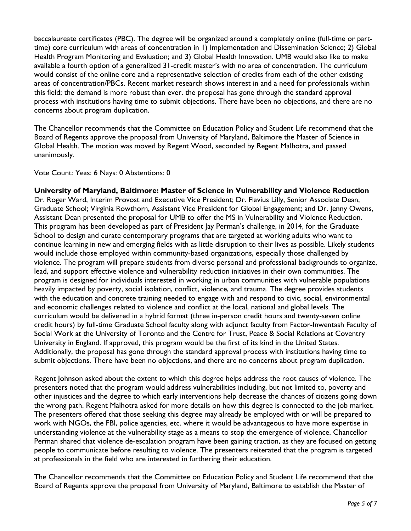baccalaureate certificates (PBC). The degree will be organized around a completely online (full-time or parttime) core curriculum with areas of concentration in 1) Implementation and Dissemination Science; 2) Global Health Program Monitoring and Evaluation; and 3) Global Health Innovation. UMB would also like to make available a fourth option of a generalized 31-credit master's with no area of concentration. The curriculum would consist of the online core and a representative selection of credits from each of the other existing areas of concentration/PBCs. Recent market research shows interest in and a need for professionals within this field; the demand is more robust than ever. the proposal has gone through the standard approval process with institutions having time to submit objections. There have been no objections, and there are no concerns about program duplication.

The Chancellor recommends that the Committee on Education Policy and Student Life recommend that the Board of Regents approve the proposal from University of Maryland, Baltimore the Master of Science in Global Health. The motion was moved by Regent Wood, seconded by Regent Malhotra, and passed unanimously.

Vote Count: Yeas: 6 Nays: 0 Abstentions: 0

**University of Maryland, Baltimore: Master of Science in Vulnerability and Violence Reduction** Dr. Roger Ward, Interim Provost and Executive Vice President; Dr. Flavius Lilly, Senior Associate Dean, Graduate School; Virginia Rowthorn, Assistant Vice President for Global Engagement; and Dr. Jenny Owens, Assistant Dean presented the proposal for UMB to offer the MS in Vulnerability and Violence Reduction. This program has been developed as part of President Jay Perman's challenge, in 2014, for the Graduate School to design and curate contemporary programs that are targeted at working adults who want to continue learning in new and emerging fields with as little disruption to their lives as possible. Likely students would include those employed within community-based organizations, especially those challenged by violence. The program will prepare students from diverse personal and professional backgrounds to organize, lead, and support effective violence and vulnerability reduction initiatives in their own communities. The program is designed for individuals interested in working in urban communities with vulnerable populations heavily impacted by poverty, social isolation, conflict, violence, and trauma. The degree provides students with the education and concrete training needed to engage with and respond to civic, social, environmental and economic challenges related to violence and conflict at the local, national and global levels. The curriculum would be delivered in a hybrid format (three in-person credit hours and twenty-seven online credit hours) by full-time Graduate School faculty along with adjunct faculty from Factor-Inwentash Faculty of Social Work at the University of Toronto and the Centre for Trust, Peace & Social Relations at Coventry University in England. If approved, this program would be the first of its kind in the United States. Additionally, the proposal has gone through the standard approval process with institutions having time to submit objections. There have been no objections, and there are no concerns about program duplication.

Regent Johnson asked about the extent to which this degree helps address the root causes of violence. The presenters noted that the program would address vulnerabilities including, but not limited to, poverty and other injustices and the degree to which early interventions help decrease the chances of citizens going down the wrong path. Regent Malhotra asked for more details on how this degree is connected to the job market. The presenters offered that those seeking this degree may already be employed with or will be prepared to work with NGOs, the FBI, police agencies, etc. where it would be advantageous to have more expertise in understanding violence at the vulnerability stage as a means to stop the emergence of violence. Chancellor Perman shared that violence de-escalation program have been gaining traction, as they are focused on getting people to communicate before resulting to violence. The presenters reiterated that the program is targeted at professionals in the field who are interested in furthering their education.

The Chancellor recommends that the Committee on Education Policy and Student Life recommend that the Board of Regents approve the proposal from University of Maryland, Baltimore to establish the Master of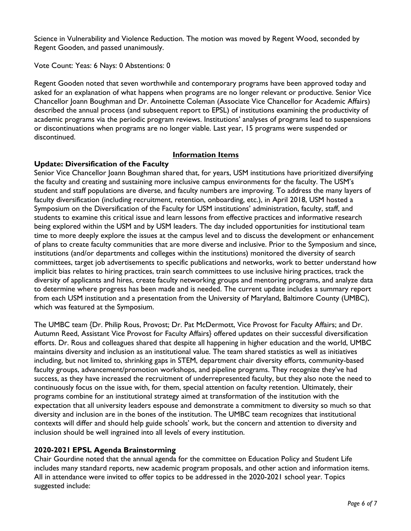Science in Vulnerability and Violence Reduction. The motion was moved by Regent Wood, seconded by Regent Gooden, and passed unanimously.

Vote Count: Yeas: 6 Nays: 0 Abstentions: 0

Regent Gooden noted that seven worthwhile and contemporary programs have been approved today and asked for an explanation of what happens when programs are no longer relevant or productive. Senior Vice Chancellor Joann Boughman and Dr. Antoinette Coleman (Associate Vice Chancellor for Academic Affairs) described the annual process (and subsequent report to EPSL) of institutions examining the productivity of academic programs via the periodic program reviews. Institutions' analyses of programs lead to suspensions or discontinuations when programs are no longer viable. Last year, 15 programs were suspended or discontinued.

### **Information Items**

### **Update: Diversification of the Faculty**

Senior Vice Chancellor Joann Boughman shared that, for years, USM institutions have prioritized diversifying the faculty and creating and sustaining more inclusive campus environments for the faculty. The USM's student and staff populations are diverse, and faculty numbers are improving. To address the many layers of faculty diversification (including recruitment, retention, onboarding, etc.), in April 2018, USM hosted a Symposium on the Diversification of the Faculty for USM institutions' administration, faculty, staff, and students to examine this critical issue and learn lessons from effective practices and informative research being explored within the USM and by USM leaders. The day included opportunities for institutional team time to more deeply explore the issues at the campus level and to discuss the development or enhancement of plans to create faculty communities that are more diverse and inclusive. Prior to the Symposium and since, institutions (and/or departments and colleges within the institutions) monitored the diversity of search committees, target job advertisements to specific publications and networks, work to better understand how implicit bias relates to hiring practices, train search committees to use inclusive hiring practices, track the diversity of applicants and hires, create faculty networking groups and mentoring programs, and analyze data to determine where progress has been made and is needed. The current update includes a summary report from each USM institution and a presentation from the University of Maryland, Baltimore County (UMBC), which was featured at the Symposium.

The UMBC team {Dr. Philip Rous, Provost; Dr. Pat McDermott, Vice Provost for Faculty Affairs; and Dr. Autumn Reed, Assistant Vice Provost for Faculty Affairs} offered updates on their successful diversification efforts. Dr. Rous and colleagues shared that despite all happening in higher education and the world, UMBC maintains diversity and inclusion as an institutional value. The team shared statistics as well as initiatives including, but not limited to, shrinking gaps in STEM, department chair diversity efforts, community-based faculty groups, advancement/promotion workshops, and pipeline programs. They recognize they've had success, as they have increased the recruitment of underrepresented faculty, but they also note the need to continuously focus on the issue with, for them, special attention on faculty retention. Ultimately, their programs combine for an institutional strategy aimed at transformation of the institution with the expectation that all university leaders espouse and demonstrate a commitment to diversity so much so that diversity and inclusion are in the bones of the institution. The UMBC team recognizes that institutional contexts will differ and should help guide schools' work, but the concern and attention to diversity and inclusion should be well ingrained into all levels of every institution.

# **2020-2021 EPSL Agenda Brainstorming**

Chair Gourdine noted that the annual agenda for the committee on Education Policy and Student Life includes many standard reports, new academic program proposals, and other action and information items. All in attendance were invited to offer topics to be addressed in the 2020-2021 school year. Topics suggested include: